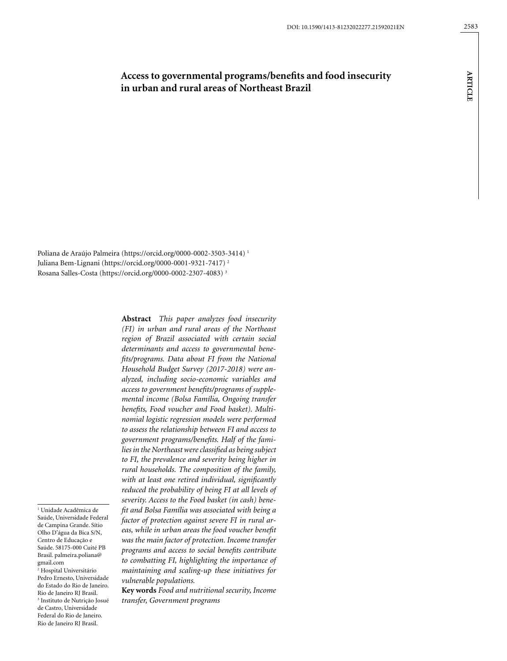# **Access to governmental programs/benefits and food insecurity in urban and rural areas of Northeast Brazil**

Poliana de Araújo Palmeira (https://orcid.org/0000-0002-3503-3414) 1 Juliana Bem-Lignani (https://orcid.org/0000-0001-9321-7417) 2 Rosana Salles-Costa (https://orcid.org/0000-0002-2307-4083) 3

1 Unidade Acadêmica de Saúde, Universidade Federal de Campina Grande. Sítio Olho D'água da Bica S/N, Centro de Educação e Saúde. 58175-000 Cuité PB Brasil. palmeira.poliana@

2 Hospital Universitário Pedro Ernesto, Universidade do Estado do Rio de Janeiro. Rio de Janeiro RJ Brasil. 3 Instituto de Nutrição Josué de Castro, Universidade Federal do Rio de Janeiro. Rio de Janeiro RJ Brasil.

gmail.com

**Abstract** *This paper analyzes food insecurity (FI) in urban and rural areas of the Northeast region of Brazil associated with certain social determinants and access to governmental benefits/programs. Data about FI from the National Household Budget Survey (2017-2018) were analyzed, including socio-economic variables and access to government benefits/programs of supplemental income (Bolsa Família, Ongoing transfer benefits, Food voucher and Food basket). Multinomial logistic regression models were performed to assess the relationship between FI and access to government programs/benefits. Half of the families in the Northeast were classified as being subject to FI, the prevalence and severity being higher in rural households. The composition of the family, with at least one retired individual, significantly reduced the probability of being FI at all levels of severity. Access to the Food basket (in cash) benefit and Bolsa Família was associated with being a factor of protection against severe FI in rural areas, while in urban areas the food voucher benefit was the main factor of protection. Income transfer programs and access to social benefits contribute to combatting FI, highlighting the importance of maintaining and scaling-up these initiatives for vulnerable populations.*

**Key words** *Food and nutritional security, Income transfer, Government programs*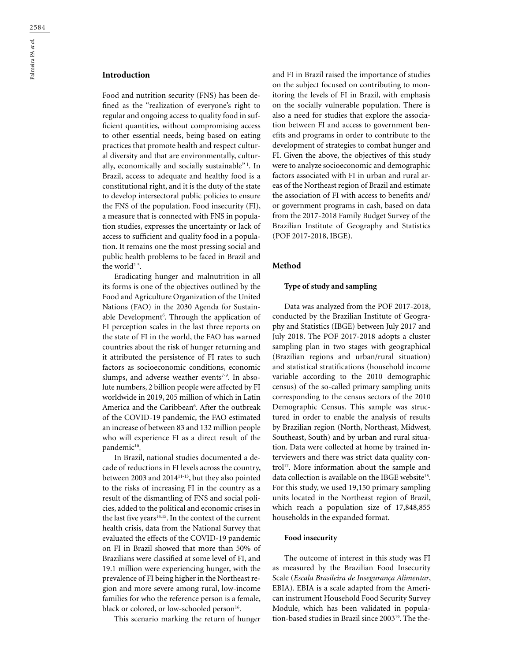Food and nutrition security (FNS) has been defined as the "realization of everyone's right to regular and ongoing access to quality food in sufficient quantities, without compromising access to other essential needs, being based on eating practices that promote health and respect cultural diversity and that are environmentally, culturally, economically and socially sustainable"<sup>1</sup>. In Brazil, access to adequate and healthy food is a constitutional right, and it is the duty of the state to develop intersectoral public policies to ensure the FNS of the population. Food insecurity (FI), a measure that is connected with FNS in population studies, expresses the uncertainty or lack of access to sufficient and quality food in a population. It remains one the most pressing social and public health problems to be faced in Brazil and the world<sup>2-5</sup>.

Eradicating hunger and malnutrition in all its forms is one of the objectives outlined by the Food and Agriculture Organization of the United Nations (FAO) in the 2030 Agenda for Sustainable Development<sup>6</sup>. Through the application of FI perception scales in the last three reports on the state of FI in the world, the FAO has warned countries about the risk of hunger returning and it attributed the persistence of FI rates to such factors as socioeconomic conditions, economic slumps, and adverse weather events<sup>7-9</sup>. In absolute numbers, 2 billion people were affected by FI worldwide in 2019, 205 million of which in Latin America and the Caribbean<sup>6</sup>. After the outbreak of the COVID-19 pandemic, the FAO estimated an increase of between 83 and 132 million people who will experience FI as a direct result of the pandemic<sup>10</sup>.

In Brazil, national studies documented a decade of reductions in FI levels across the country, between 2003 and 201411-13, but they also pointed to the risks of increasing FI in the country as a result of the dismantling of FNS and social policies, added to the political and economic crises in the last five years<sup>14,15</sup>. In the context of the current health crisis, data from the National Survey that evaluated the effects of the COVID-19 pandemic on FI in Brazil showed that more than 50% of Brazilians were classified at some level of FI, and 19.1 million were experiencing hunger, with the prevalence of FI being higher in the Northeast region and more severe among rural, low-income families for who the reference person is a female, black or colored, or low-schooled person<sup>16</sup>.

This scenario marking the return of hunger

and FI in Brazil raised the importance of studies on the subject focused on contributing to monitoring the levels of FI in Brazil, with emphasis on the socially vulnerable population. There is also a need for studies that explore the association between FI and access to government benefits and programs in order to contribute to the development of strategies to combat hunger and FI. Given the above, the objectives of this study were to analyze socioeconomic and demographic factors associated with FI in urban and rural areas of the Northeast region of Brazil and estimate the association of FI with access to benefits and/ or government programs in cash, based on data from the 2017-2018 Family Budget Survey of the Brazilian Institute of Geography and Statistics (POF 2017-2018, IBGE).

## **Method**

#### **Type of study and sampling**

Data was analyzed from the POF 2017-2018, conducted by the Brazilian Institute of Geography and Statistics (IBGE) between July 2017 and July 2018. The POF 2017-2018 adopts a cluster sampling plan in two stages with geographical (Brazilian regions and urban/rural situation) and statistical stratifications (household income variable according to the 2010 demographic census) of the so-called primary sampling units corresponding to the census sectors of the 2010 Demographic Census. This sample was structured in order to enable the analysis of results by Brazilian region (North, Northeast, Midwest, Southeast, South) and by urban and rural situation. Data were collected at home by trained interviewers and there was strict data quality control<sup>17</sup>. More information about the sample and data collection is available on the IBGE website<sup>18</sup>. For this study, we used 19,150 primary sampling units located in the Northeast region of Brazil, which reach a population size of 17,848,855 households in the expanded format.

## **Food insecurity**

The outcome of interest in this study was FI as measured by the Brazilian Food Insecurity Scale (*Escala Brasileira de Insegurança Alimentar*, EBIA). EBIA is a scale adapted from the American instrument Household Food Security Survey Module, which has been validated in population-based studies in Brazil since 200319. The the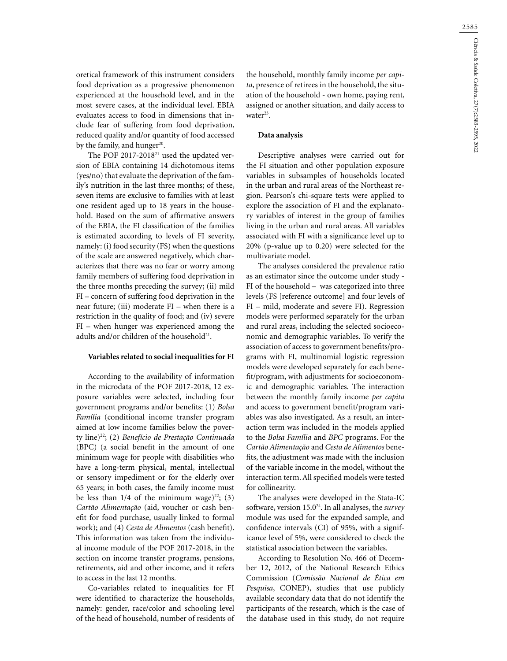oretical framework of this instrument considers food deprivation as a progressive phenomenon experienced at the household level, and in the most severe cases, at the individual level. EBIA evaluates access to food in dimensions that include fear of suffering from food deprivation, reduced quality and/or quantity of food accessed by the family, and hunger $20$ .

The POF 2017-2018<sup>21</sup> used the updated version of EBIA containing 14 dichotomous items (yes/no) that evaluate the deprivation of the family's nutrition in the last three months; of these, seven items are exclusive to families with at least one resident aged up to 18 years in the household. Based on the sum of affirmative answers of the EBIA, the FI classification of the families is estimated according to levels of FI severity, namely: (i) food security (FS) when the questions of the scale are answered negatively, which characterizes that there was no fear or worry among family members of suffering food deprivation in the three months preceding the survey; (ii) mild FI – concern of suffering food deprivation in the near future; (iii) moderate  $FI$  – when there is a restriction in the quality of food; and (iv) severe FI – when hunger was experienced among the adults and/or children of the household<sup>21</sup>.

#### **Variables related to social inequalities for FI**

According to the availability of information in the microdata of the POF 2017-2018, 12 exposure variables were selected, including four government programs and/or benefits: (1) *Bolsa Família* (conditional income transfer program aimed at low income families below the poverty line)22; (2) *Benefício de Prestação Continuada* (BPC) (a social benefit in the amount of one minimum wage for people with disabilities who have a long-term physical, mental, intellectual or sensory impediment or for the elderly over 65 years; in both cases, the family income must be less than  $1/4$  of the minimum wage)<sup>22</sup>; (3) *Cartão Alimentação* (aid, voucher or cash benefit for food purchase, usually linked to formal work); and (4) *Cesta de Alimentos* (cash benefit). This information was taken from the individual income module of the POF 2017-2018, in the section on income transfer programs, pensions, retirements, aid and other income, and it refers to access in the last 12 months.

Co-variables related to inequalities for FI were identified to characterize the households, namely: gender, race/color and schooling level of the head of household, number of residents of the household, monthly family income *per capita*, presence of retirees in the household, the situation of the household - own home, paying rent, assigned or another situation, and daily access to water<sup>23</sup>.

#### **Data analysis**

Descriptive analyses were carried out for the FI situation and other population exposure variables in subsamples of households located in the urban and rural areas of the Northeast region. Pearson's chi-square tests were applied to explore the association of FI and the explanatory variables of interest in the group of families living in the urban and rural areas. All variables associated with FI with a significance level up to 20% (p-value up to 0.20) were selected for the multivariate model.

The analyses considered the prevalence ratio as an estimator since the outcome under study - FI of the household – was categorized into three levels (FS [reference outcome] and four levels of FI – mild, moderate and severe FI). Regression models were performed separately for the urban and rural areas, including the selected socioeconomic and demographic variables. To verify the association of access to government benefits/programs with FI, multinomial logistic regression models were developed separately for each benefit/program, with adjustments for socioeconomic and demographic variables. The interaction between the monthly family income *per capita*  and access to government benefit/program variables was also investigated. As a result, an interaction term was included in the models applied to the *Bolsa Família* and *BPC* programs. For the *Cartão Alimentação* and *Cesta de Alimentos* benefits, the adjustment was made with the inclusion of the variable income in the model, without the interaction term. All specified models were tested for collinearity.

The analyses were developed in the Stata-IC software, version 15.024. In all analyses, the *survey* module was used for the expanded sample, and confidence intervals (CI) of 95%, with a significance level of 5%, were considered to check the statistical association between the variables.

According to Resolution No. 466 of December 12, 2012, of the National Research Ethics Commission (*Comissão Nacional de Ética em Pesquisa*, CONEP), studies that use publicly available secondary data that do not identify the participants of the research, which is the case of the database used in this study, do not require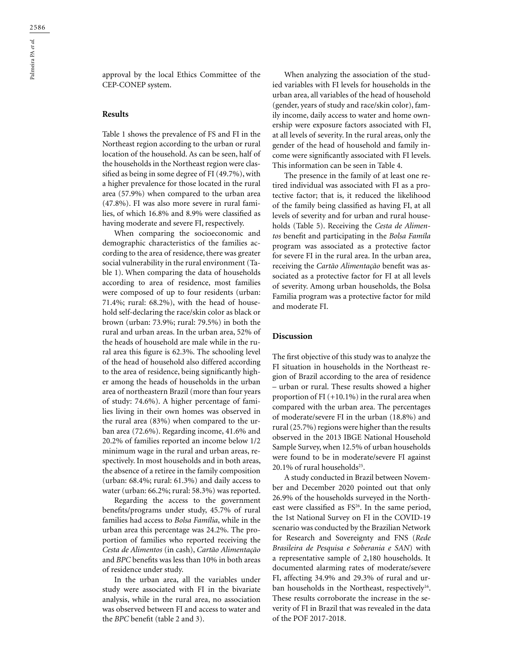approval by the local Ethics Committee of the CEP-CONEP system.

#### **Results**

Table 1 shows the prevalence of FS and FI in the Northeast region according to the urban or rural location of the household. As can be seen, half of the households in the Northeast region were classified as being in some degree of FI (49.7%), with a higher prevalence for those located in the rural area (57.9%) when compared to the urban area (47.8%). FI was also more severe in rural families, of which 16.8% and 8.9% were classified as having moderate and severe FI, respectively.

When comparing the socioeconomic and demographic characteristics of the families according to the area of residence, there was greater social vulnerability in the rural environment (Table 1). When comparing the data of households according to area of residence, most families were composed of up to four residents (urban: 71.4%; rural: 68.2%), with the head of household self-declaring the race/skin color as black or brown (urban: 73.9%; rural: 79.5%) in both the rural and urban areas. In the urban area, 52% of the heads of household are male while in the rural area this figure is 62.3%. The schooling level of the head of household also differed according to the area of residence, being significantly higher among the heads of households in the urban area of northeastern Brazil (more than four years of study: 74.6%). A higher percentage of families living in their own homes was observed in the rural area (83%) when compared to the urban area (72.6%). Regarding income, 41.6% and 20.2% of families reported an income below 1/2 minimum wage in the rural and urban areas, respectively. In most households and in both areas, the absence of a retiree in the family composition (urban: 68.4%; rural: 61.3%) and daily access to water (urban: 66.2%; rural: 58.3%) was reported.

Regarding the access to the government benefits/programs under study, 45.7% of rural families had access to *Bolsa Família*, while in the urban area this percentage was 24.2%. The proportion of families who reported receiving the *Cesta de Alimentos* (in cash), *Cartão Alimentação* and *BPC* benefits was less than 10% in both areas of residence under study.

In the urban area, all the variables under study were associated with FI in the bivariate analysis, while in the rural area, no association was observed between FI and access to water and the *BPC* benefit (table 2 and 3).

When analyzing the association of the studied variables with FI levels for households in the urban area, all variables of the head of household (gender, years of study and race/skin color), family income, daily access to water and home ownership were exposure factors associated with FI, at all levels of severity. In the rural areas, only the gender of the head of household and family income were significantly associated with FI levels. This information can be seen in Table 4.

The presence in the family of at least one retired individual was associated with FI as a protective factor; that is, it reduced the likelihood of the family being classified as having FI, at all levels of severity and for urban and rural households (Table 5). Receiving the *Cesta de Alimentos* benefit and participating in the *Bolsa Famíla* program was associated as a protective factor for severe FI in the rural area. In the urban area, receiving the *Cartão Alimentação* benefit was associated as a protective factor for FI at all levels of severity. Among urban households, the Bolsa Familia program was a protective factor for mild and moderate FI.

#### **Discussion**

The first objective of this study was to analyze the FI situation in households in the Northeast region of Brazil according to the area of residence – urban or rural. These results showed a higher proportion of FI  $(+10.1\%)$  in the rural area when compared with the urban area. The percentages of moderate/severe FI in the urban (18.8%) and rural (25.7%) regions were higher than the results observed in the 2013 IBGE National Household Sample Survey, when 12.5% of urban households were found to be in moderate/severe FI against 20.1% of rural households<sup>25</sup>.

A study conducted in Brazil between November and December 2020 pointed out that only 26.9% of the households surveyed in the Northeast were classified as FS<sup>26</sup>. In the same period, the 1st National Survey on FI in the COVID-19 scenario was conducted by the Brazilian Network for Research and Sovereignty and FNS (*Rede Brasileira de Pesquisa e Soberania e SAN*) with a representative sample of 2,180 households. It documented alarming rates of moderate/severe FI, affecting 34.9% and 29.3% of rural and urban households in the Northeast, respectively<sup>16</sup>. These results corroborate the increase in the severity of FI in Brazil that was revealed in the data of the POF 2017-2018.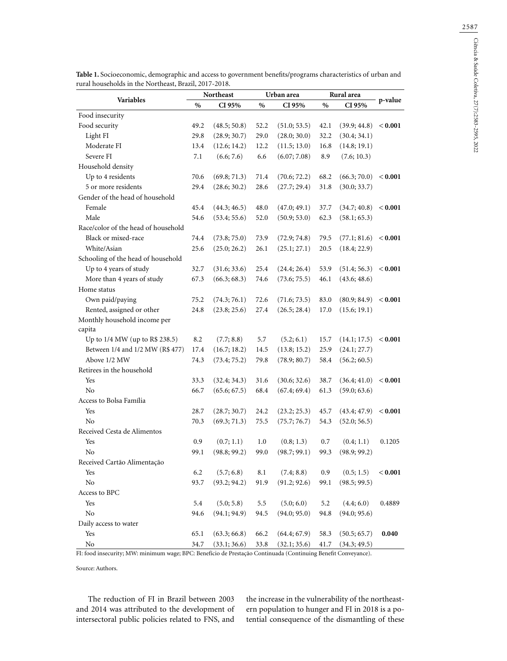|                                     | Northeast |              | Urban area |              | Rural area |              |         |
|-------------------------------------|-----------|--------------|------------|--------------|------------|--------------|---------|
| Variables                           | $\%$      | CI 95%       | $\%$       | CI 95%       | $\%$       | CI 95%       | p-value |
| Food insecurity                     |           |              |            |              |            |              |         |
| Food security                       | 49.2      | (48.5; 50.8) | 52.2       | (51.0; 53.5) | 42.1       | (39.9; 44.8) | < 0.001 |
| Light FI                            | 29.8      | (28.9; 30.7) | 29.0       | (28.0; 30.0) | 32.2       | (30.4; 34.1) |         |
| Moderate FI                         | 13.4      | (12.6; 14.2) | 12.2       | (11.5; 13.0) | 16.8       | (14.8; 19.1) |         |
| Severe FI                           | 7.1       | (6.6; 7.6)   | 6.6        | (6.07; 7.08) | 8.9        | (7.6; 10.3)  |         |
| Household density                   |           |              |            |              |            |              |         |
| Up to 4 residents                   | 70.6      | (69.8; 71.3) | 71.4       | (70.6; 72.2) | 68.2       | (66.3; 70.0) | < 0.001 |
| 5 or more residents                 | 29.4      | (28.6; 30.2) | 28.6       | (27.7; 29.4) | 31.8       | (30.0; 33.7) |         |
| Gender of the head of household     |           |              |            |              |            |              |         |
| Female                              | 45.4      | (44.3; 46.5) | 48.0       | (47.0; 49.1) | 37.7       | (34.7; 40.8) | < 0.001 |
| Male                                | 54.6      | (53.4; 55.6) | 52.0       | (50.9; 53.0) | 62.3       | (58.1; 65.3) |         |
| Race/color of the head of household |           |              |            |              |            |              |         |
| Black or mixed-race                 | 74.4      | (73.8; 75.0) | 73.9       | (72.9; 74.8) | 79.5       | (77.1; 81.6) | < 0.001 |
| White/Asian                         | 25.6      | (25.0; 26.2) | 26.1       | (25.1; 27.1) | 20.5       | (18.4; 22.9) |         |
| Schooling of the head of household  |           |              |            |              |            |              |         |
| Up to 4 years of study              | 32.7      | (31.6; 33.6) | 25.4       | (24.4; 26.4) | 53.9       | (51.4; 56.3) | < 0.001 |
| More than 4 years of study          | 67.3      | (66.3; 68.3) | 74.6       | (73.6; 75.5) | 46.1       | (43.6; 48.6) |         |
| Home status                         |           |              |            |              |            |              |         |
| Own paid/paying                     | 75.2      | (74.3; 76.1) | 72.6       | (71.6; 73.5) | 83.0       | (80.9; 84.9) | < 0.001 |
| Rented, assigned or other           | 24.8      | (23.8; 25.6) | 27.4       | (26.5; 28.4) | 17.0       | (15.6; 19.1) |         |
| Monthly household income per        |           |              |            |              |            |              |         |
| capita                              |           |              |            |              |            |              |         |
| Up to 1/4 MW (up to R\$ 238.5)      | 8.2       | (7.7; 8.8)   | 5.7        | (5.2; 6.1)   | 15.7       | (14.1; 17.5) | < 0.001 |
| Between 1/4 and 1/2 MW (R\$ 477)    | 17.4      | (16.7; 18.2) | 14.5       | (13.8; 15.2) | 25.9       | (24.1; 27.7) |         |
| Above 1/2 MW                        | 74.3      | (73.4; 75.2) | 79.8       | (78.9; 80.7) | 58.4       | (56.2; 60.5) |         |
| Retirees in the household           |           |              |            |              |            |              |         |
| Yes                                 | 33.3      | (32.4; 34.3) | 31.6       | (30.6; 32.6) | 38.7       | (36.4; 41.0) | < 0.001 |
| N <sub>0</sub>                      | 66.7      | (65.6; 67.5) | 68.4       | (67.4; 69.4) | 61.3       | (59.0; 63.6) |         |
| Access to Bolsa Família             |           |              |            |              |            |              |         |
| Yes                                 | 28.7      | (28.7; 30.7) | 24.2       | (23.2; 25.3) | 45.7       | (43.4; 47.9) | < 0.001 |
| N <sub>0</sub>                      | 70.3      | (69.3; 71.3) | 75.5       | (75.7; 76.7) | 54.3       | (52.0; 56.5) |         |
| Received Cesta de Alimentos         |           |              |            |              |            |              |         |
| Yes                                 | 0.9       | (0.7; 1.1)   | 1.0        | (0.8; 1.3)   | 0.7        | (0.4; 1.1)   | 0.1205  |
| N <sub>o</sub>                      | 99.1      | (98.8; 99.2) | 99.0       | (98.7; 99.1) | 99.3       | (98.9; 99.2) |         |
| Received Cartão Alimentação         |           |              |            |              |            |              |         |
| Yes                                 | 6.2       | (5.7; 6.8)   | 8.1        | (7.4; 8.8)   | 0.9        | (0.5; 1.5)   | < 0.001 |
| No                                  | 93.7      | (93.2; 94.2) | 91.9       | (91.2; 92.6) | 99.1       | (98.5; 99.5) |         |
| Access to BPC                       |           |              |            |              |            |              |         |
| Yes                                 | 5.4       | (5.0; 5.8)   | 5.5        | (5.0; 6.0)   | 5.2        | (4.4; 6.0)   | 0.4889  |
| No                                  | 94.6      | (94.1; 94.9) | 94.5       | (94.0; 95.0) | 94.8       | (94.0; 95.6) |         |
| Daily access to water               |           |              |            |              |            |              |         |
| Yes                                 | 65.1      | (63.3; 66.8) | 66.2       | (64.4; 67.9) | 58.3       | (50.5; 65.7) | 0.040   |
| $\rm No$                            | 34.7      | (33.1; 36.6) | 33.8       | (32.1; 35.6) | 41.7       | (34.3; 49.5) |         |

**Table 1.** Socioeconomic, demographic and access to government benefits/programs characteristics of urban and rural households in the Northeast, Brazil, 2017-2018.

FI: food insecurity; MW: minimum wage; BPC: Benefício de Prestação Continuada (Continuing Benefit Conveyance).

Source: Authors.

The reduction of FI in Brazil between 2003 and 2014 was attributed to the development of intersectoral public policies related to FNS, and the increase in the vulnerability of the northeastern population to hunger and FI in 2018 is a potential consequence of the dismantling of these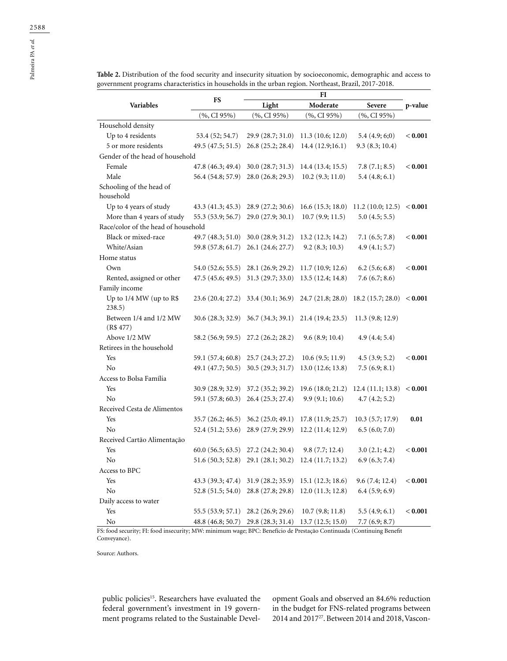| Variables                             | FS                | Light                               | Moderate          | Severe                      | p-value   |
|---------------------------------------|-------------------|-------------------------------------|-------------------|-----------------------------|-----------|
|                                       | $(%$ , CI 95%)    | $(\%$ , CI 95%)                     | $(%$ , CI 95%)    | $(\%$ , CI 95%)             |           |
| Household density                     |                   |                                     |                   |                             |           |
| Up to 4 residents                     | 53.4 (52; 54.7)   | 29.9 (28.7; 31.0)                   | 11.3(10.6; 12.0)  | 5.4(4.9; 6; 0)              | $< 0.001$ |
| 5 or more residents                   | 49.5(47.5; 51.5)  | 26.8 (25.2; 28.4)                   | 14.4 (12.9;16.1)  | 9.3(8.3; 10.4)              |           |
| Gender of the head of household       |                   |                                     |                   |                             |           |
| Female                                | 47.8(46.3; 49.4)  | 30.0(28.7; 31.3)                    | 14.4 (13.4; 15.5) | 7.8(7.1; 8.5)               | $< 0.001$ |
| Male                                  |                   | 56.4 (54.8; 57.9) 28.0 (26.8; 29.3) | 10.2(9.3; 11.0)   | 5.4(4.8; 6.1)               |           |
| Schooling of the head of<br>household |                   |                                     |                   |                             |           |
| Up to 4 years of study                | 43.3(41.3; 45.3)  | 28.9 (27.2; 30.6)                   | 16.6(15.3; 18.0)  | 11.2 (10.0; 12.5) $< 0.001$ |           |
| More than 4 years of study            | 55.3 (53.9; 56.7) | 29.0 (27.9; 30.1)                   | 10.7(9.9; 11.5)   | 5.0(4.5; 5.5)               |           |
| Race/color of the head of household   |                   |                                     |                   |                             |           |
| Black or mixed-race                   | 49.7(48.3; 51.0)  | 30.0(28.9; 31.2)                    | 13.2 (12.3; 14.2) | 7.1(6.5; 7.8)               | < 0.001   |
| White/Asian                           | 59.8 (57.8; 61.7) | 26.1 (24.6; 27.7)                   | 9.2(8.3; 10.3)    | 4.9(4.1; 5.7)               |           |
| Home status                           |                   |                                     |                   |                             |           |
| Own                                   |                   | 54.0 (52.6; 55.5) 28.1 (26.9; 29.2) | 11.7(10.9; 12.6)  | $6.2$ (5.6; 6.8)            | < 0.001   |
| Rented, assigned or other             |                   | 47.5 (45.6; 49.5) 31.3 (29.7; 33.0) | 13.5 (12.4; 14.8) | 7.6(6.7; 8.6)               |           |
| Family income                         |                   |                                     |                   |                             |           |
| Up to 1/4 MW (up to R\$<br>238.5)     |                   | 23.6 (20.4; 27.2) 33.4 (30.1; 36.9) | 24.7 (21.8; 28.0) | 18.2(15.7; 28.0)            | < 0.001   |
| Between 1/4 and 1/2 MW<br>(R\$477)    |                   | 30.6 (28.3; 32.9) 36.7 (34.3; 39.1) | 21.4 (19.4; 23.5) | 11.3(9.8; 12.9)             |           |
| Above 1/2 MW                          |                   | 58.2 (56.9; 59.5) 27.2 (26.2; 28.2) | 9.6(8.9; 10.4)    | 4.9(4.4; 5.4)               |           |
| Retirees in the household             |                   |                                     |                   |                             |           |
| Yes                                   |                   | 59.1 (57.4; 60.8) 25.7 (24.3; 27.2) | 10.6(9.5; 11.9)   | 4.5(3.9; 5.2)               | < 0.001   |
| No                                    | 49.1 (47.7; 50.5) | 30.5(29.3; 31.7)                    | 13.0 (12.6; 13.8) | 7.5(6.9; 8.1)               |           |
| Access to Bolsa Família               |                   |                                     |                   |                             |           |
| Yes                                   | 30.9(28.9; 32.9)  | 37.2 (35.2; 39.2)                   | 19.6 (18.0; 21.2) | 12.4(11.1; 13.8)            | < 0.001   |
| No                                    | 59.1 (57.8; 60.3) | 26.4 (25.3; 27.4)                   | 9.9(9.1; 10.6)    | 4.7(4.2; 5.2)               |           |
| Received Cesta de Alimentos           |                   |                                     |                   |                             |           |
| Yes                                   | 35.7(26.2; 46.5)  | 36.2(25.0; 49.1)                    | 17.8(11.9; 25.7)  | 10.3(5.7; 17.9)             | 0.01      |
| No                                    | 52.4(51.2; 53.6)  | 28.9 (27.9; 29.9)                   | 12.2 (11.4; 12.9) | 6.5(6.0; 7.0)               |           |
| Received Cartão Alimentação           |                   |                                     |                   |                             |           |
| Yes                                   | 60.0(56.5; 63.5)  | 27.2 (24.2; 30.4)                   | 9.8(7.7; 12.4)    | 3.0(2.1; 4.2)               | $< 0.001$ |
| N <sub>o</sub>                        |                   | 51.6 (50.3; 52.8) 29.1 (28.1; 30.2) | 12.4(11.7; 13.2)  | 6.9(6.3; 7.4)               |           |
| Access to BPC                         |                   |                                     |                   |                             |           |
| Yes                                   |                   | 43.3 (39.3; 47.4) 31.9 (28.2; 35.9) | 15.1 (12.3; 18.6) | 9.6(7.4; 12.4)              | < 0.001   |
| No                                    |                   | 52.8 (51.5; 54.0) 28.8 (27.8; 29.8) | 12.0(11.3; 12.8)  | 6.4(5.9; 6.9)               |           |

**Table 2.** Distribution of the food security and insecurity situation by socioeconomic, demographic and access to government programs characteristics in households in the urban region. Northeast, Brazil, 2017-2018.

**FI**

No 48.8 (46.8; 50.7) 29.8 (28.3; 31.4) 13.7 (12.5; 15.0) 7.7 (6.9; 8.7) FS: food security; FI: food insecurity; MW: minimum wage; BPC: Benefício de Prestação Continuada (Continuing Benefit Conveyance).

Yes 55.5 (53.9; 57.1) 28.2 (26.9; 29.6) 10.7 (9.8; 11.8) 5.5 (4.9; 6.1) **< 0.001**

Source: Authors.

Daily access to water

public policies<sup>15</sup>. Researchers have evaluated the federal government's investment in 19 government programs related to the Sustainable Development Goals and observed an 84.6% reduction in the budget for FNS-related programs between 2014 and 2017<sup>27</sup>. Between 2014 and 2018, Vascon-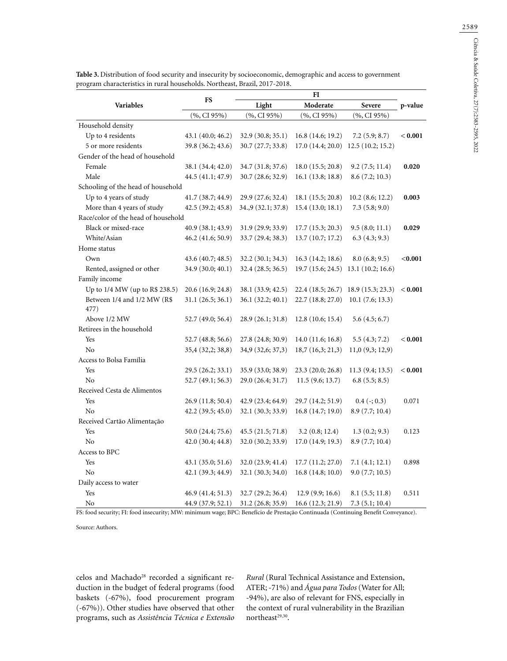|                                     | <b>FS</b>           |                    |                   |                                      |         |  |  |  |
|-------------------------------------|---------------------|--------------------|-------------------|--------------------------------------|---------|--|--|--|
| Variables                           |                     | Light              | Moderate          | Severe                               | p-value |  |  |  |
|                                     | $(\%$ , CI 95%)     | (%, CI 95%)        | (%, CI 95%)       | $(\%$ , CI 95%)                      |         |  |  |  |
| Household density                   |                     |                    |                   |                                      |         |  |  |  |
| Up to 4 residents                   | 43.1 (40.0; 46.2)   | 32.9 (30.8; 35.1)  | 16.8 (14.6; 19.2) | 7.2(5.9; 8.7)                        | < 0.001 |  |  |  |
| 5 or more residents                 | 39.8 (36.2; 43.6)   | 30.7 (27.7; 33.8)  | 17.0(14.4; 20.0)  | 12.5(10.2; 15.2)                     |         |  |  |  |
| Gender of the head of household     |                     |                    |                   |                                      |         |  |  |  |
| Female                              | 38.1 (34.4; 42.0)   | 34.7 (31.8; 37.6)  | 18.0(15.5; 20.8)  | 9.2(7.5; 11.4)                       | 0.020   |  |  |  |
| Male                                | 44.5 (41.1; 47.9)   | 30.7 (28.6; 32.9)  | 16.1(13.8; 18.8)  | 8.6(7.2; 10.3)                       |         |  |  |  |
| Schooling of the head of household  |                     |                    |                   |                                      |         |  |  |  |
| Up to 4 years of study              | 41.7(38.7; 44.9)    | 29.9 (27.6; 32.4)  | 18.1 (15.5; 20.8) | $10.2$ (8.6; 12.2)                   | 0.003   |  |  |  |
| More than 4 years of study          | 42.5(39.2; 45.8)    | 34, 9 (32.1; 37.8) | 15.4 (13.0; 18.1) | 7.3(5.8; 9.0)                        |         |  |  |  |
| Race/color of the head of household |                     |                    |                   |                                      |         |  |  |  |
| Black or mixed-race                 | 40.9(38.1; 43.9)    | 31.9(29.9; 33.9)   | 17.7(15.3; 20.3)  | 9.5(8.0; 11.1)                       | 0.029   |  |  |  |
| White/Asian                         | $46.2$ (41.6; 50.9) | 33.7 (29.4; 38.3)  | 13.7(10.7; 17.2)  | 6.3(4.3; 9.3)                        |         |  |  |  |
| Home status                         |                     |                    |                   |                                      |         |  |  |  |
| Own                                 | 43.6 (40.7; 48.5)   | 32.2(30.1; 34.3)   | 16.3 (14.2; 18.6) | 8.0(6.8; 9.5)                        | < 0.001 |  |  |  |
| Rented, assigned or other           | 34.9 (30.0; 40.1)   | 32.4 (28.5; 36.5)  |                   | $19.7(15.6; 24.5)$ 13.1 (10.2; 16.6) |         |  |  |  |
| Family income                       |                     |                    |                   |                                      |         |  |  |  |
| Up to 1/4 MW (up to R\$ 238.5)      | 20.6 (16.9; 24.8)   | 38.1 (33.9; 42.5)  | 22.4 (18.5; 26.7) | 18.9(15.3; 23.3)                     | < 0.001 |  |  |  |
| Between 1/4 and 1/2 MW (R\$         | 31.1(26.5; 36.1)    | 36.1(32.2; 40.1)   | 22.7 (18.8; 27.0) | 10.1(7.6; 13.3)                      |         |  |  |  |
| 477)                                |                     |                    |                   |                                      |         |  |  |  |
| Above 1/2 MW                        | 52.7 (49.0; 56.4)   | 28.9 (26.1; 31.8)  | 12.8(10.6; 15.4)  | 5.6(4.5; 6.7)                        |         |  |  |  |
| Retirees in the household           |                     |                    |                   |                                      |         |  |  |  |
| Yes                                 | 52.7 (48.8; 56.6)   | 27.8 (24.8; 30.9)  | 14.0(11.6; 16.8)  | 5.5(4.3; 7.2)                        | < 0.001 |  |  |  |
| N <sub>o</sub>                      | 35,4 (32,2; 38,8)   | 34,9 (32,6; 37,3)  | 18,7(16,3;21,3)   | 11,0(9,3;12,9)                       |         |  |  |  |
| Access to Bolsa Família             |                     |                    |                   |                                      |         |  |  |  |
| Yes                                 | 29.5 (26.2; 33.1)   | 35.9 (33.0; 38.9)  | 23.3 (20.0; 26.8) | 11.3 (9.4; 13.5)                     | < 0.001 |  |  |  |
| N <sub>o</sub>                      | 52.7(49.1; 56.3)    | 29.0 (26.4; 31.7)  | 11.5(9.6; 13.7)   | 6.8(5.5; 8.5)                        |         |  |  |  |
| Received Cesta de Alimentos         |                     |                    |                   |                                      |         |  |  |  |
| Yes                                 | 26.9(11.8; 50.4)    | 42.9(23.4; 64.9)   | 29.7 (14.2; 51.9) | $0.4$ ( $-; 0.3$ )                   | 0.071   |  |  |  |
| N <sub>o</sub>                      | 42.2(39.5; 45.0)    | 32.1 (30.3; 33.9)  | 16.8(14.7; 19.0)  | 8.9(7.7; 10.4)                       |         |  |  |  |
| Received Cartão Alimentação         |                     |                    |                   |                                      |         |  |  |  |
| Yes                                 | 50.0 (24.4; 75.6)   | 45.5 (21.5; 71.8)  | 3.2(0.8; 12.4)    | 1.3(0.2; 9.3)                        | 0.123   |  |  |  |
| No                                  | 42.0 (30.4; 44.8)   | 32.0 (30.2; 33.9)  | 17.0(14.9; 19.3)  | 8.9 (7.7; 10.4)                      |         |  |  |  |
| Access to BPC                       |                     |                    |                   |                                      |         |  |  |  |
| Yes                                 | 43.1 (35.0; 51.6)   | 32.0 (23.9; 41.4)  | 17.7 (11.2; 27.0) | 7.1(4.1; 12.1)                       | 0.898   |  |  |  |
| No                                  | 42.1 (39.3; 44.9)   | 32.1 (30.3; 34.0)  | 16.8(14.8;10.0)   | 9.0(7.7; 10.5)                       |         |  |  |  |
| Daily access to water               |                     |                    |                   |                                      |         |  |  |  |
| Yes                                 | 46.9(41.4; 51.3)    | 32.7(29.2; 36.4)   | 12.9(9.9; 16.6)   | 8.1 (5.5; 11.8)                      | 0.511   |  |  |  |
| No                                  | 44.9 (37.9; 52.1)   | 31.2 (26.8; 35.9)  | 16.6 (12.3; 21.9) | 7.3(5.1; 10.4)                       |         |  |  |  |

**Table 3.** Distribution of food security and insecurity by socioeconomic, demographic and access to government program characteristics in rural households. Northeast, Brazil, 2017-2018.

FS: food security; FI: food insecurity; MW: minimum wage; BPC: Benefício de Prestação Continuada (Continuing Benefit Conveyance).

Source: Authors.

celos and Machado<sup>28</sup> recorded a significant reduction in the budget of federal programs (food baskets (-67%), food procurement program (-67%)). Other studies have observed that other programs, such as *Assistência Técnica e Extensão* 

*Rural* (Rural Technical Assistance and Extension, ATER; -71%) and *Água para Todos* (Water for All; -94%), are also of relevant for FNS, especially in the context of rural vulnerability in the Brazilian northeast $29,30$ .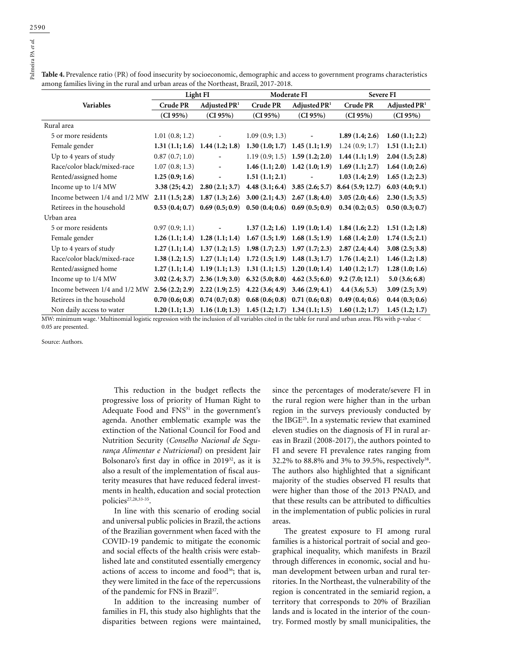$\begin{array}{c}\n 2590 \\
\hline\n 2590 \\
\hline\n 45 \text{ at } 25\n \end{array}$ Palmeira PA *et al.*

| among families living in the rural and urban areas of the Northeast, Brazil, 2017-2018. | Light FI                             |                                  | Moderate FI                          |                                     | <b>Severe FI</b>                  |                |
|-----------------------------------------------------------------------------------------|--------------------------------------|----------------------------------|--------------------------------------|-------------------------------------|-----------------------------------|----------------|
| Variables                                                                               | Adjusted PR <sup>1</sup><br>Crude PR |                                  | Adjusted PR <sup>1</sup><br>Crude PR |                                     | <b>Crude PR</b><br>Adjusted $PR1$ |                |
|                                                                                         |                                      |                                  |                                      |                                     |                                   |                |
|                                                                                         | (CI 95%)                             | (CI 95%)                         | (CI 95%)                             | (CI 95%)                            | (CI 95%)                          | (CI 95%)       |
| Rural area                                                                              |                                      |                                  |                                      |                                     |                                   |                |
| 5 or more residents                                                                     | 1.01(0.8; 1.2)                       |                                  | 1.09(0.9; 1.3)                       |                                     | 1.89(1.4; 2.6)                    | 1.60(1.1; 2.2) |
| Female gender                                                                           | 1.31(1.1; 1.6)                       | 1.44(1.2; 1.8)                   |                                      | $1.30(1.0; 1.7)$ $1.45(1.1; 1.9)$   | 1.24(0.9; 1.7)                    | 1.51(1.1; 2.1) |
| Up to 4 years of study                                                                  | 0.87(0.7;1.0)                        |                                  |                                      | 1.19 $(0.9; 1.5)$ 1.59 $(1.2; 2.0)$ | 1.44(1.1; 1.9)                    | 2.04(1.5; 2.8) |
| Race/color black/mixed-race                                                             | 1.07(0.8; 1.3)                       | $\overline{\phantom{a}}$         |                                      | $1.46(1.1; 2.0)$ $1.42(1.0; 1.9)$   | 1.69(1.1; 2.7)                    | 1.64(1.0; 2.6) |
| Rented/assigned home                                                                    | 1.25(0.9; 1.6)                       | $\overline{\phantom{a}}$         | 1.51(1.1; 2.1)                       |                                     | 1.03(1.4; 2.9)                    | 1.65(1.2; 2.3) |
| Income up to 1/4 MW                                                                     | 3.38(25; 4.2)                        | 2.80(2.1; 3.7)                   |                                      | 4.48 $(3.1; 6.4)$ 3.85 $(2.6; 5.7)$ | 8.64(5.9; 12.7)                   | 6.03(4.0; 9.1) |
| Income between 1/4 and 1/2 MW                                                           | 2.11(1.5; 2.8)                       | 1.87(1.3; 2.6)                   |                                      | 3.00 $(2.1; 4.3)$ 2.67 $(1.8; 4.0)$ | 3.05(2.0; 4.6)                    | 2.30(1.5; 3.5) |
| Retirees in the household                                                               | 0.53(0.4;0.7)                        | 0.69(0.5;0.9)                    |                                      | $0.50(0.4; 0.6)$ $0.69(0.5; 0.9)$   | 0.34(0.2; 0.5)                    | 0.50(0.3;0.7)  |
| Urban area                                                                              |                                      |                                  |                                      |                                     |                                   |                |
| 5 or more residents                                                                     | 0.97(0.9; 1.1)                       |                                  |                                      | $1.37(1.2; 1.6)$ 1.19 (1.0; 1.4)    | 1.84(1.6; 2.2)                    | 1.51(1.2; 1.8) |
| Female gender                                                                           | 1.26(1.1; 1.4)                       | 1.28(1.1; 1.4)                   | $1.67(1.5; 1.9)$ $1.68(1.5; 1.9)$    |                                     | 1.68(1.4; 2.0)                    | 1.74(1.5; 2.1) |
| Up to 4 years of study                                                                  |                                      | $1.27(1.1; 1.4)$ 1.37 (1.2; 1.5) |                                      | $1.98(1.7; 2.3)$ 1.97 (1.7; 2.3)    | 2.87(2.4; 4.4)                    | 3.08(2.5; 3.8) |
| Race/color black/mixed-race                                                             | 1.38(1.2; 1.5)                       | 1.27(1.1; 1.4)                   |                                      | $1.72(1.5; 1.9)$ 1.48 (1.3; 1.7)    | 1.76(1.4; 2.1)                    | 1.46(1.2; 1.8) |
| Rented/assigned home                                                                    | 1.27(1.1; 1.4)                       | 1.19(1.1; 1.3)                   |                                      | $1.31(1.1; 1.5)$ $1.20(1.0; 1.4)$   | 1.40(1.2; 1.7)                    | 1.28(1.0; 1.6) |
| Income up to 1/4 MW                                                                     | 3.02(2.4; 3.7)                       | 2.36(1.9; 3.0)                   |                                      | $6.32(5.0; 8.0)$ 4.62 (3.5; 6.0)    | 9.2(7.0; 12.1)                    | 5.0(3.6; 6.8)  |
| Income between 1/4 and 1/2 MW                                                           | 2.56(2.2; 2.9)                       | 2.22(1.9; 2.5)                   |                                      | $4.22(3.6; 4.9)$ $3.46(2.9; 4.1)$   | 4.4(3.6; 5.3)                     | 3.09(2.5; 3.9) |
| Retirees in the household                                                               | 0.70(0.6;0.8)                        | 0.74(0.7;0.8)                    |                                      | $0.68(0.6; 0.8)$ 0.71 $(0.6; 0.8)$  | 0.49(0.4;0.6)                     | 0.44(0.3;0.6)  |
| Non daily access to water                                                               | 1.20(1.1; 1.3)                       | 1.16(1.0; 1.3)                   | $1.45(1.2; 1.7)$ $1.34(1.1; 1.5)$    |                                     | 1.60(1.2; 1.7)                    | 1.45(1.2; 1.7) |

**Table 4.** Prevalence ratio (PR) of food insecurity by socioeconomic, demographic and access to government programs characteristics

MW: minimum wage.<sup>1</sup> Multinomial logistic regression with the inclusion of all variables cited in the table for rural and urban areas. PRs with p-value < 0.05 are presented.

Source: Authors.

This reduction in the budget reflects the progressive loss of priority of Human Right to Adequate Food and FNS<sup>31</sup> in the government's agenda. Another emblematic example was the extinction of the National Council for Food and Nutrition Security (*Conselho Nacional de Segurança Alimentar e Nutricional*) on president Jair Bolsonaro's first day in office in 201932, as it is also a result of the implementation of fiscal austerity measures that have reduced federal investments in health, education and social protection policies<sup>27,28,33-35</sup>.

In line with this scenario of eroding social and universal public policies in Brazil, the actions of the Brazilian government when faced with the COVID-19 pandemic to mitigate the economic and social effects of the health crisis were established late and constituted essentially emergency actions of access to income and food<sup>36</sup>; that is, they were limited in the face of the repercussions of the pandemic for FNS in Brazil<sup>37</sup>.

In addition to the increasing number of families in FI, this study also highlights that the disparities between regions were maintained,

since the percentages of moderate/severe FI in the rural region were higher than in the urban region in the surveys previously conducted by the IBGE25. In a systematic review that examined eleven studies on the diagnosis of FI in rural areas in Brazil (2008-2017), the authors pointed to FI and severe FI prevalence rates ranging from 32.2% to 88.8% and 3% to 39.5%, respectively<sup>38</sup>. The authors also highlighted that a significant majority of the studies observed FI results that were higher than those of the 2013 PNAD, and that these results can be attributed to difficulties in the implementation of public policies in rural areas.

The greatest exposure to FI among rural families is a historical portrait of social and geographical inequality, which manifests in Brazil through differences in economic, social and human development between urban and rural territories. In the Northeast, the vulnerability of the region is concentrated in the semiarid region, a territory that corresponds to 20% of Brazilian lands and is located in the interior of the country. Formed mostly by small municipalities, the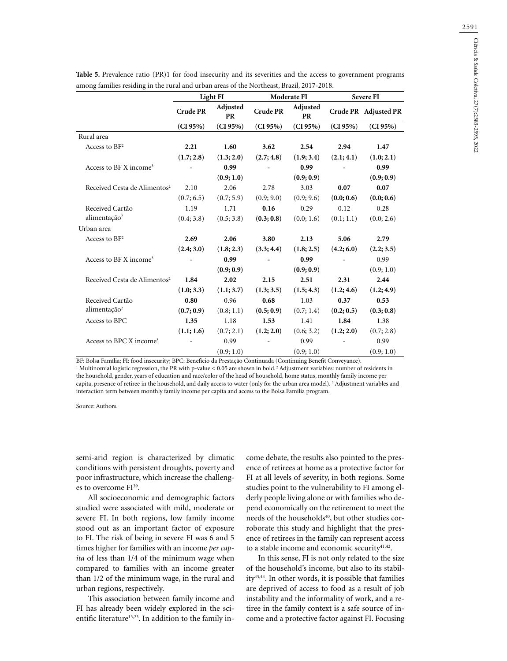2591

|                                          | Light FI        |                       | Moderate FI     |                       | <b>Severe FI</b> |                      |
|------------------------------------------|-----------------|-----------------------|-----------------|-----------------------|------------------|----------------------|
|                                          | <b>Crude PR</b> | Adjusted<br><b>PR</b> | <b>Crude PR</b> | Adjusted<br><b>PR</b> |                  | Crude PR Adjusted PR |
|                                          | (CI 95%)        | (CI 95%)              | (CI 95%)        | (CI 95%)              | (CI 95%)         | (CI 95%)             |
| Rural area                               |                 |                       |                 |                       |                  |                      |
| Access to $BF2$                          | 2.21            | 1.60                  | 3.62            | 2.54                  | 2.94             | 1.47                 |
|                                          | (1.7; 2.8)      | (1.3; 2.0)            | (2.7; 4.8)      | (1.9; 3.4)            | (2.1; 4.1)       | (1.0; 2.1)           |
| Access to BF X income <sup>3</sup>       |                 | 0.99                  |                 | 0.99                  |                  | 0.99                 |
|                                          |                 | (0.9; 1.0)            |                 | (0.9; 0.9)            |                  | (0.9; 0.9)           |
| Received Cesta de Alimentos <sup>2</sup> | 2.10            | 2.06                  | 2.78            | 3.03                  | 0.07             | 0.07                 |
|                                          | (0.7; 6.5)      | (0.7; 5.9)            | (0.9; 9.0)      | (0.9; 9.6)            | (0.0; 0.6)       | (0.0; 0.6)           |
| Received Cartão                          | 1.19            | 1.71                  | 0.16            | 0.29                  | 0.12             | 0.28                 |
| alimentação <sup>2</sup>                 | (0.4; 3.8)      | (0.5; 3.8)            | (0.3; 0.8)      | (0.0; 1.6)            | (0.1; 1.1)       | (0.0; 2.6)           |
| Urban area                               |                 |                       |                 |                       |                  |                      |
| Access to $BF2$                          | 2.69            | 2.06                  | 3.80            | 2.13                  | 5.06             | 2.79                 |
|                                          | (2.4; 3.0)      | (1.8; 2.3)            | (3.3; 4.4)      | (1.8; 2.5)            | (4.2; 6.0)       | (2.2; 3.5)           |
| Access to BF X income <sup>3</sup>       |                 | 0.99                  |                 | 0.99                  |                  | 0.99                 |
|                                          |                 | (0.9; 0.9)            |                 | (0.9; 0.9)            |                  | (0.9; 1.0)           |
| Received Cesta de Alimentos <sup>2</sup> | 1.84            | 2.02                  | 2.15            | 2.51                  | 2.31             | 2.44                 |
|                                          | (1.0; 3.3)      | (1.1; 3.7)            | (1.3; 3.5)      | (1.5; 4.3)            | (1.2; 4.6)       | (1.2; 4.9)           |
| Received Cartão                          | 0.80            | 0.96                  | 0.68            | 1.03                  | 0.37             | 0.53                 |
| alimentação <sup>2</sup>                 | (0.7; 0.9)      | (0.8; 1.1)            | (0.5; 0.9)      | (0.7; 1.4)            | (0.2; 0.5)       | (0.3; 0.8)           |
| Access to BPC                            | 1.35            | 1.18                  | 1.53            | 1.41                  | 1.84             | 1.38                 |
|                                          | (1.1; 1.6)      | (0.7; 2.1)            | (1.2; 2.0)      | (0.6; 3.2)            | (1.2; 2.0)       | (0.7; 2.8)           |
| Access to BPC X income <sup>3</sup>      |                 | 0.99                  |                 | 0.99                  |                  | 0.99                 |
|                                          |                 | (0.9; 1.0)            |                 | (0.9; 1.0)            |                  | (0.9; 1.0)           |

**Table 5.** Prevalence ratio (PR)1 for food insecurity and its severities and the access to government programs among families residing in the rural and urban areas of the Northeast, Brazil, 2017-2018.

BF: Bolsa Família; FI: food insecurity; BPC: Benefício da Prestação Continuada (Continuing Benefit Conveyance). 1 Multinomial logistic regression, the PR with p-value < 0.05 are shown in bold. 2 Adjustment variables: number of residents in the household, gender, years of education and race/color of the head of household, home status, monthly family income per capita, presence of retiree in the household, and daily access to water (only for the urban area model). 3 Adjustment variables and interaction term between monthly family income per capita and access to the Bolsa Familia program.

Source: Authors.

semi-arid region is characterized by climatic conditions with persistent droughts, poverty and poor infrastructure, which increase the challenges to overcome FI<sup>39</sup>.

All socioeconomic and demographic factors studied were associated with mild, moderate or severe FI. In both regions, low family income stood out as an important factor of exposure to FI. The risk of being in severe FI was 6 and 5 times higher for families with an income *per capita* of less than 1/4 of the minimum wage when compared to families with an income greater than 1/2 of the minimum wage, in the rural and urban regions, respectively.

This association between family income and FI has already been widely explored in the scientific literature<sup>13,23</sup>. In addition to the family in-

come debate, the results also pointed to the presence of retirees at home as a protective factor for FI at all levels of severity, in both regions. Some studies point to the vulnerability to FI among elderly people living alone or with families who depend economically on the retirement to meet the needs of the households<sup>40</sup>, but other studies corroborate this study and highlight that the presence of retirees in the family can represent access to a stable income and economic security<sup>41,42</sup>.

In this sense, FI is not only related to the size of the household's income, but also to its stability43,44. In other words, it is possible that families are deprived of access to food as a result of job instability and the informality of work, and a retiree in the family context is a safe source of income and a protective factor against FI. Focusing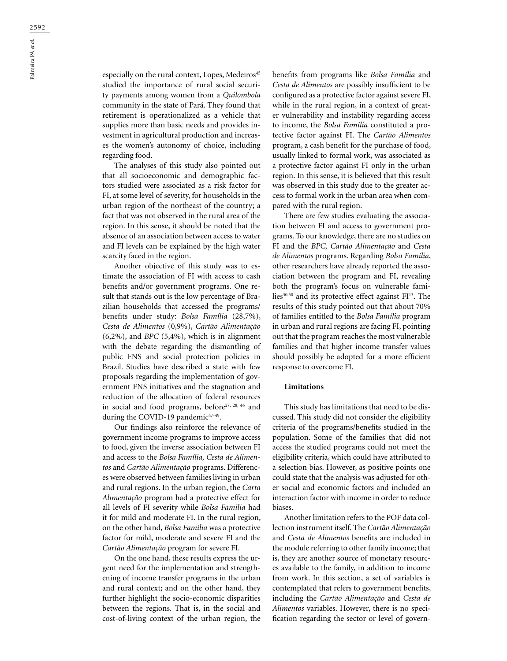especially on the rural context, Lopes, Medeiros<sup>45</sup> studied the importance of rural social security payments among women from a *Quilombola* community in the state of Pará. They found that retirement is operationalized as a vehicle that supplies more than basic needs and provides investment in agricultural production and increases the women's autonomy of choice, including regarding food.

The analyses of this study also pointed out that all socioeconomic and demographic factors studied were associated as a risk factor for FI, at some level of severity, for households in the urban region of the northeast of the country; a fact that was not observed in the rural area of the region. In this sense, it should be noted that the absence of an association between access to water and FI levels can be explained by the high water scarcity faced in the region.

Another objective of this study was to estimate the association of FI with access to cash benefits and/or government programs. One result that stands out is the low percentage of Brazilian households that accessed the programs/ benefits under study: *Bolsa Família* (28,7%), *Cesta de Alimentos* (0,9%), *Cartão Alimentação* (6,2%), and *BPC* (5,4%), which is in alignment with the debate regarding the dismantling of public FNS and social protection policies in Brazil. Studies have described a state with few proposals regarding the implementation of government FNS initiatives and the stagnation and reduction of the allocation of federal resources in social and food programs, before<sup>27, 28, 46</sup> and during the COVID-19 pandemic<sup>47-49</sup>.

Our findings also reinforce the relevance of government income programs to improve access to food, given the inverse association between FI and access to the *Bolsa Família, Cesta de Alimentos* and *Cartão Alimentação* programs. Differences were observed between families living in urban and rural regions. In the urban region, the *Carta Alimentação* program had a protective effect for all levels of FI severity while *Bolsa Familia* had it for mild and moderate FI. In the rural region, on the other hand, *Bolsa Família* was a protective factor for mild, moderate and severe FI and the *Cartão Alimentação* program for severe FI.

On the one hand, these results express the urgent need for the implementation and strengthening of income transfer programs in the urban and rural context; and on the other hand, they further highlight the socio-economic disparities between the regions. That is, in the social and cost-of-living context of the urban region, the benefits from programs like *Bolsa Família* and *Cesta de Alimentos* are possibly insufficient to be configured as a protective factor against severe FI, while in the rural region, in a context of greater vulnerability and instability regarding access to income, the *Bolsa Família* constituted a protective factor against FI. The *Cartão Alimentos* program, a cash benefit for the purchase of food, usually linked to formal work, was associated as a protective factor against FI only in the urban region. In this sense, it is believed that this result was observed in this study due to the greater access to formal work in the urban area when compared with the rural region.

There are few studies evaluating the association between FI and access to government programs. To our knowledge, there are no studies on FI and the *BPC, Cartão Alimentação* and *Cesta de Alimentos* programs. Regarding *Bolsa Família*, other researchers have already reported the association between the program and FI, revealing both the program's focus on vulnerable families<sup>30,50</sup> and its protective effect against FI<sup>13</sup>. The results of this study pointed out that about 70% of families entitled to the *Bolsa Família* program in urban and rural regions are facing FI, pointing out that the program reaches the most vulnerable families and that higher income transfer values should possibly be adopted for a more efficient response to overcome FI.

## **Limitations**

This study has limitations that need to be discussed. This study did not consider the eligibility criteria of the programs/benefits studied in the population. Some of the families that did not access the studied programs could not meet the eligibility criteria, which could have attributed to a selection bias. However, as positive points one could state that the analysis was adjusted for other social and economic factors and included an interaction factor with income in order to reduce biases.

Another limitation refers to the POF data collection instrument itself. The *Cartão Alimentação*  and *Cesta de Alimentos* benefits are included in the module referring to other family income; that is, they are another source of monetary resources available to the family, in addition to income from work. In this section, a set of variables is contemplated that refers to government benefits, including the *Cartão Alimentação* and *Cesta de Alimentos* variables. However, there is no specification regarding the sector or level of govern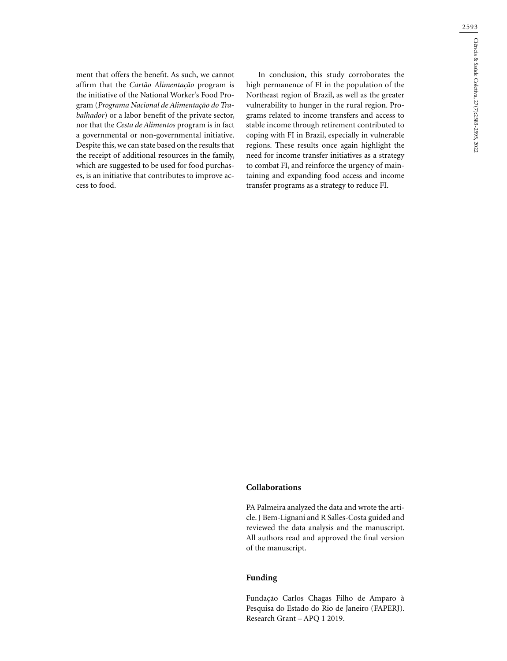ment that offers the benefit. As such, we cannot affirm that the *Cartão Alimentação* program is the initiative of the National Worker's Food Program (*Programa Nacional de Alimentação do Trabalhador*) or a labor benefit of the private sector, nor that the *Cesta de Alimentos* program is in fact a governmental or non-governmental initiative. Despite this, we can state based on the results that the receipt of additional resources in the family, which are suggested to be used for food purchases, is an initiative that contributes to improve access to food.

In conclusion, this study corroborates the high permanence of FI in the population of the Northeast region of Brazil, as well as the greater vulnerability to hunger in the rural region. Programs related to income transfers and access to stable income through retirement contributed to coping with FI in Brazil, especially in vulnerable regions. These results once again highlight the need for income transfer initiatives as a strategy to combat FI, and reinforce the urgency of maintaining and expanding food access and income transfer programs as a strategy to reduce FI.

## **Collaborations**

PA Palmeira analyzed the data and wrote the article. J Bem-Lignani and R Salles-Costa guided and reviewed the data analysis and the manuscript. All authors read and approved the final version of the manuscript.

# **Funding**

Fundação Carlos Chagas Filho de Amparo à Pesquisa do Estado do Rio de Janeiro (FAPERJ). Research Grant – APQ 1 2019.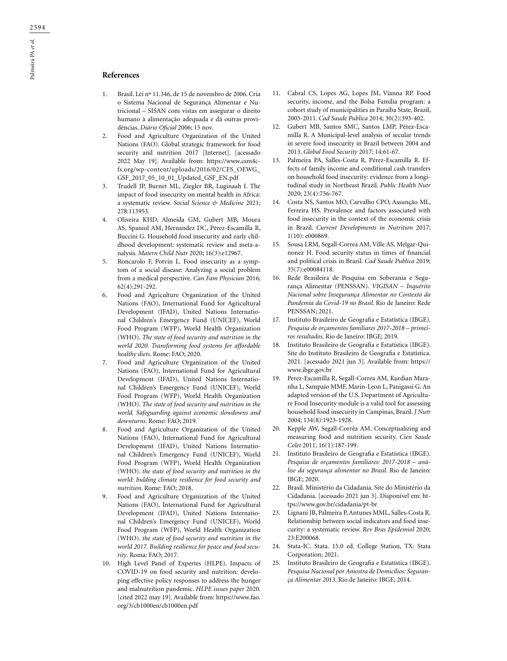# **References**

- 1. Brasil. Lei nº 11.346, de 15 de novembro de 2006. Cria o Sistema Nacional de Segurança Alimentar e Nutricional – SISAN com vistas em assegurar o direito humano à alimentação adequada e dá outras providências. *Diário Oficial* 2006; 15 nov.
- 2. Food and Agriculture Organization of the United Nations (FAO). Global strategic framework for food security and nutrition 2017 [Internet]. [acessado 2022 May 19]. Available from: https://www.csm4cfs.org/wp-content/uploads/2016/02/CFS\_OEWG\_ GSF\_2017\_05\_10\_01\_Updated\_GSF\_EN.pdf
- 3. Trudell JP, Burnet ML, Ziegler BR, Luginaah I. The impact of food insecurity on mental health in Africa: a systematic review. *Social Science & Medicine* 2021; 278:113953.
- 4. Oliveira KHD, Almeida GM, Gubert MB, Moura AS, Spaniol AM, Hernandez DC, Pérez-Escamilla R, Buccini G. Household food insecurity and early childhood development: systematic review and meta-analysis. *Matern Child Nutr* 2020; 16(3):e12967.
- 5. Roncarolo F, Potvin L. Food insecurity as a symptom of a social disease: Analyzing a social problem from a medical perspective. *Can Fam Physician* 2016; 62(4):291-292.
- 6. Food and Agriculture Organization of the United Nations (FAO), International Fund for Agricultural Development (IFAD), United Nations International Children's Emergency Fund (UNICEF), World Food Program (WFP), World Health Organization (WHO). *The state of food security and nutrition in the world 2020. Transforming food systems for affordable healthy diets*. Rome: FAO; 2020.
- 7. Food and Agriculture Organization of the United Nations (FAO), International Fund for Agricultural Development (IFAD), United Nations International Children's Emergency Fund (UNICEF), World Food Program (WFP), World Health Organization (WHO). *The state of food security and nutrition in the world. Safeguarding against economic slowdowns and downturns*. Rome: FAO; 2019.
- 8. Food and Agriculture Organization of the United Nations (FAO), International Fund for Agricultural Development (IFAD), United Nations International Children's Emergency Fund (UNICEF), World Food Program (WFP), World Health Organization (WHO). *the state of food security and nutrition in the world: bulding climate resilience for food security and nutrition*. Rome: FAO; 2018.
- 9. Food and Agriculture Organization of the United Nations (FAO), International Fund for Agricultural Development (IFAD), United Nations International Children's Emergency Fund (UNICEF), World Food Program (WFP), World Health Organization (WHO). *the state of food security and nutrition in the world 2017. Building resilience for peace and food security*. Roma: FAO; 2017.
- 10. High Level Panel of Expertes (HLPE). Impacts of COVID-19 on food security and nutrition: developing effective policy responses to address the hunger and malnutrition pandemic. *HLPE issues paper* 2020. [cited 2022 may 19]. Available from: https://www.fao. org/3/cb1000en/cb1000en.pdf
- 11. Cabral CS, Lopes AG, Lopes JM, Vianna RP. Food security, income, and the Bolsa Familia program: a cohort study of municipalities in Paraiba State, Brazil, 2005-2011. *Cad Saude Publica* 2014; 30(2):393-402.
- 12. Gubert MB, Santos SMC, Santos LMP, Pérez-Escamilla R. A Municipal-level analysis of secular trends in severe food insecurity in Brazil between 2004 and 2013. *Global Food Security* 2017; 14:61-67.
- 13. Palmeira PA, Salles-Costa R, Pérez-Escamilla R. Effects of family income and conditional cash transfers on household food insecurity: evidence from a longitudinal study in Northeast Brazil. *Public Health Nutr* 2020; 23(4):756-767.
- 14. Costa NS, Santos MO, Carvalho CPO, Assunção ML, Ferreira HS. Prevalence and factors associated with food insecurity in the context of the economic crisis in Brazil. *Current Developments in Nutrition* 2017; 1(10): e000869.
- 15. Sousa LRM, Segall-Correa AM, Ville AS, Melgar-Quinonez H. Food security status in times of financial and political crisis in Brazil. *Cad Saude Publica* 2019; 35(7):e00084118.
- 16. Rede Brasileira de Pesquisa em Soberania e Segurança Alimentar (PENSSAN). *VIGISAN – Inquérito Nacional sobre Insegurança Alimentar no Contexto da Pandemia da Covid-19 no Brasil*. Rio de Janeiro: Rede PENSSAN; 2021.
- 17. Instituto Brasileiro de Geografia e Estatística (IBGE). *Pesquisa de orçamentos familiares 2017-2018 – primeiros resultados*. Rio de Janeiro: IBGE; 2019.
- 18. Instituto Brasileiro de Geografia e Estatística (IBGE). Site do Instituto Brasileiro de Geografia e Estatística. 2021. [acessado 2021 jun 3]. Available from: https:// www.ibge.gov.br
- 19. Perez-Escamilla R, Segall-Correa AM, Kurdian Maranha L, Sampaio MMF, Marin-Leon L, Panigassi G. An adapted version of the U.S. Department of Agriculture Food Insecurity module is a valid tool for assessing household food insecurity in Campinas, Brazil. *J Nutr* 2004; 134(8):1923-1928.
- 20. Kepple AW, Segall-Corrêa AM. Conceptualizing and measuring food and nutrition security. *Cien Saude Colet* 2011; 16(1):187-199.
- 21. Instituto Brasileiro de Geografia e Estatística (IBGE). *Pesquisa de orçamentos familiares: 2017-2018 – análise da segurança alimentar no Brasil*. Rio de Janeiro: IBGE; 2020.
- 22. Brasil. Ministério da Cidadania. Site do Ministério da Cidadania. [acessado 2021 jun 3]. Disponível em: https://www.gov.br/cidadania/pt-br
- 23. Lignani JB, Palmeira P, Antunes MML, Salles-Costa R. Relationship between social indicators and food insecurity: a systematic review. *Rev Bras Epidemiol* 2020; 23:E200068.
- 24. Stata-IC. Stata. 15.0 ed. College Station, TX: Stata Corporation; 2021.
- 25. Instituto Brasileiro de Geografia e Estatística (IBGE). *Pesquisa Nacional por Amostra de Domicílios: Segurança Alimentar 2013*. Rio de Janeiro: IBGE; 2014.